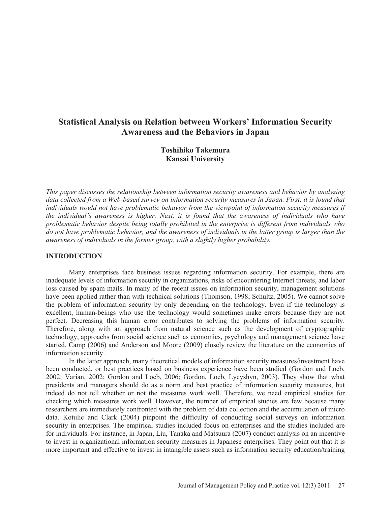# **Statistical Analysis on Relation between Workers' Information Security Awareness and the Behaviors in Japan**

## **Toshihiko Takemura Kansai University**

*This paper discusses the relationship between information security awareness and behavior by analyzing data collected from a Web-based survey on information security measures in Japan. First, it is found that individuals would not have problematic behavior from the viewpoint of information security measures if the individual's awareness is higher. Next, it is found that the awareness of individuals who have problematic behavior despite being totally prohibited in the enterprise is different from individuals who do not have problematic behavior, and the awareness of individuals in the latter group is larger than the awareness of individuals in the former group, with a slightly higher probability.* 

#### **INTRODUCTION**

Many enterprises face business issues regarding information security. For example, there are inadequate levels of information security in organizations, risks of encountering Internet threats, and labor loss caused by spam mails. In many of the recent issues on information security, management solutions have been applied rather than with technical solutions (Thomson, 1998; Schultz, 2005). We cannot solve the problem of information security by only depending on the technology. Even if the technology is excellent, human-beings who use the technology would sometimes make errors because they are not perfect. Decreasing this human error contributes to solving the problems of information security. Therefore, along with an approach from natural science such as the development of cryptographic technology, approachs from social science such as economics, psychology and management science have started. Camp (2006) and Anderson and Moore (2009) closely review the literature on the economics of information security.

In the latter approach, many theoretical models of information security measures/investment have been conducted, or best practices based on business experience have been studied (Gordon and Loeb, 2002; Varian, 2002; Gordon and Loeb, 2006; Gordon, Loeb, Lycyshyn, 2003). They show that what presidents and managers should do as a norm and best practice of information security measures, but indeed do not tell whether or not the measures work well. Therefore, we need empirical studies for checking which measures work well. However, the number of empirical studies are few because many researchers are immediately confronted with the problem of data collection and the accumulation of micro data. Kotulic and Clark (2004) pinpoint the difficulty of conducting social surveys on information security in enterprises. The empirical studies included focus on enterprises and the studies included are for individuals. For instance, in Japan, Liu, Tanaka and Matsuura (2007) conduct analysis on an incentive to invest in organizational information security measures in Japanese enterprises. They point out that it is more important and effective to invest in intangible assets such as information security education/training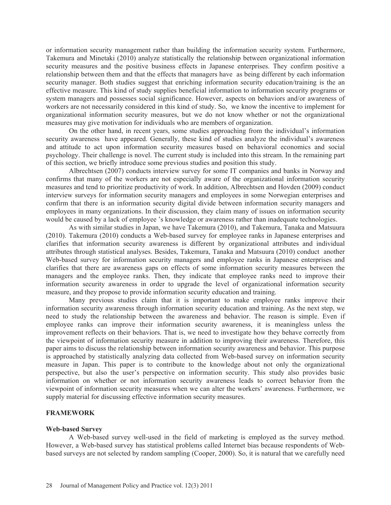or information security management rather than building the information security system. Furthermore, Takemura and Minetaki (2010) analyze statistically the relationship between organizational information security measures and the positive business effects in Japanese enterprises. They confirm positive a relationship between them and that the effects that managers have as being different by each information security manager. Both studies suggest that enriching information security education/training is the an effective measure. This kind of study supplies beneficial information to information security programs or system managers and possesses social significance. However, aspects on behaviors and/or awareness of workers are not necessarily considered in this kind of study. So, we know the incentive to implement for organizational information security measures, but we do not know whether or not the organizational measures may give motivation for individuals who are members of organization.

On the other hand, in recent years, some studies approaching from the individual's information security awareness have appeared. Generally, these kind of studies analyze the individual's awareness and attitude to act upon information security measures based on behavioral economics and social psychology. Their challenge is novel. The current study is included into this stream. In the remaining part of this section, we briefly introduce some previous studies and position this study.

Albrechtsen (2007) conducts interview survey for some IT companies and banks in Norway and confirms that many of the workers are not especially aware of the organizational information security measures and tend to prioritize productivity of work. In addition, Albrechtsen and Hovden (2009) conduct interview surveys for information security managers and employees in some Norwegian enterprises and confirm that there is an information security digital divide between information security managers and employees in many organizations. In their discussion, they claim many of issues on information security would be caused by a lack of employee 's knowledge or awareness rather than inadequate technologies.

As with similar studies in Japan, we have Takemura (2010), and Takemura, Tanaka and Matsuura (2010). Takemura (2010) conducts a Web-based survey for employee ranks in Japanese enterprises and clarifies that information security awareness is different by organizational attributes and individual attributes through statistical analyses. Besides, Takemura, Tanaka and Matsuura (2010) conduct another Web-based survey for information security managers and employee ranks in Japanese enterprises and clarifies that there are awareness gaps on effects of some information security measures between the managers and the employee ranks. Then, they indicate that employee ranks need to improve their information security awareness in order to upgrade the level of organizational information security measure, and they propose to provide information security education and training.

Many previous studies claim that it is important to make employee ranks improve their information security awareness through information security education and training. As the next step, we need to study the relationship between the awareness and behavior. The reason is simple. Even if employee ranks can improve their information security awareness, it is meaningless unless the improvement reflects on their behaviors. That is, we need to investigate how they behave correctly from the viewpoint of information security measure in addition to improving their awareness. Therefore, this paper aims to discuss the relationship between information security awareness and behavior. This purpose is approached by statistically analyzing data collected from Web-based survey on information security measure in Japan. This paper is to contribute to the knowledge about not only the organizational perspective, but also the user's perspective on information security. This study also provides basic information on whether or not information security awareness leads to correct behavior from the viewpoint of information security measures when we can alter the workers' awareness. Furthermore, we supply material for discussing effective information security measures.

#### **FRAMEWORK**

#### **Web-based Survey**

A Web-based survey well-used in the field of marketing is employed as the survey method. However, a Web-based survey has statistical problems called Internet bias because respondents of Webbased surveys are not selected by random sampling (Cooper, 2000). So, it is natural that we carefully need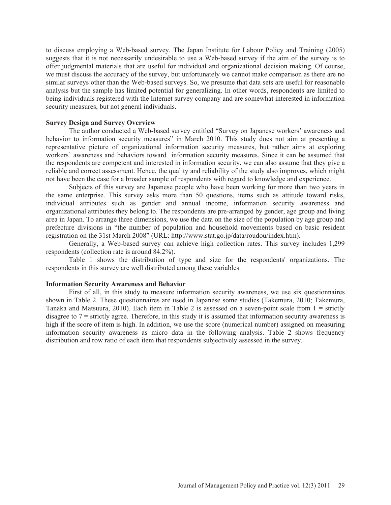to discuss employing a Web-based survey. The Japan Institute for Labour Policy and Training (2005) suggests that it is not necessarily undesirable to use a Web-based survey if the aim of the survey is to offer judgmental materials that are useful for individual and organizational decision making. Of course, we must discuss the accuracy of the survey, but unfortunately we cannot make comparison as there are no similar surveys other than the Web-based surveys. So, we presume that data sets are useful for reasonable analysis but the sample has limited potential for generalizing. In other words, respondents are limited to being individuals registered with the Internet survey company and are somewhat interested in information security measures, but not general individuals.

#### **Survey Design and Survey Overview**

The author conducted a Web-based survey entitled "Survey on Japanese workers' awareness and behavior to information security measures" in March 2010. This study does not aim at presenting a representative picture of organizational information security measures, but rather aims at exploring workers' awareness and behaviors toward information security measures. Since it can be assumed that the respondents are competent and interested in information security, we can also assume that they give a reliable and correct assessment. Hence, the quality and reliability of the study also improves, which might not have been the case for a broader sample of respondents with regard to knowledge and experience.

Subjects of this survey are Japanese people who have been working for more than two years in the same enterprise. This survey asks more than 50 questions, items such as attitude toward risks, individual attributes such as gender and annual income, information security awareness and organizational attributes they belong to. The respondents are pre-arranged by gender, age group and living area in Japan. To arrange three dimensions, we use the data on the size of the population by age group and prefecture divisions in "the number of population and household movements based on basic resident registration on the 31st March 2008" (URL: http://www.stat.go.jp/data/roudou/index.htm).

Generally, a Web-based survey can achieve high collection rates. This survey includes 1,299 respondents (collection rate is around 84.2%).

Table 1 shows the distribution of type and size for the respondents' organizations. The respondents in this survey are well distributed among these variables.

#### **Information Security Awareness and Behavior**

First of all, in this study to measure information security awareness, we use six questionnaires shown in Table 2. These questionnaires are used in Japanese some studies (Takemura, 2010; Takemura, Tanaka and Matsuura, 2010). Each item in Table 2 is assessed on a seven-point scale from 1 = strictly disagree to 7 = strictly agree. Therefore, in this study it is assumed that information security awareness is high if the score of item is high. In addition, we use the score (numerical number) assigned on measuring information security awareness as micro data in the following analysis. Table 2 shows frequency distribution and row ratio of each item that respondents subjectively assessed in the survey.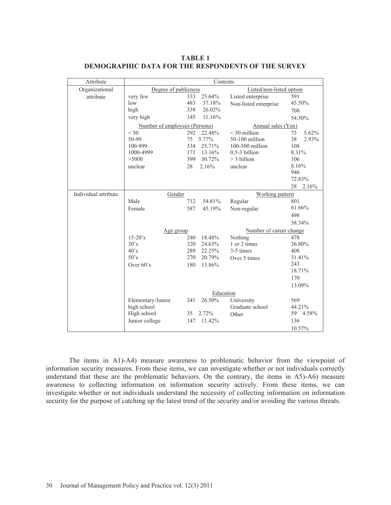| Attribute            | Contents                      |               |                          |             |  |
|----------------------|-------------------------------|---------------|--------------------------|-------------|--|
| Organizational       | Degree of publicness          |               | Listed/non-listed option |             |  |
| attribute            | very few                      | 333<br>25.64% | Listed enterprise        | 591         |  |
|                      | low                           | 483<br>37.18% | Non-listed enterprise    | 45.50%      |  |
|                      | high                          | 338<br>26.02% |                          | 708         |  |
|                      | very high                     | 11.16%<br>145 |                          | 54.50%      |  |
|                      | Number of employees (Persons) |               | Annual sales (Yen)       |             |  |
|                      | < 50                          | 22.48%<br>292 | $< 50$ million           | 5.62%<br>73 |  |
|                      | 50-99                         | 75<br>5.77%   | 50-100 million           | 38<br>2.93% |  |
|                      | 100-999                       | 334<br>25.71% | 100-500 million          | 108         |  |
|                      | 1000-4999                     | 171<br>13.16% | 0.5-3 billion            | 8.31%       |  |
|                      | >5000                         | 399<br>30.72% | $>$ 3 billion            | 106         |  |
|                      | unclear                       | 2.16%<br>28   | unclear                  | 8.16%       |  |
|                      |                               |               |                          | 946         |  |
|                      |                               |               |                          | 72.83%      |  |
|                      |                               |               |                          | 28<br>2.16% |  |
| Individual attribute | Gender                        |               | Working pattern          |             |  |
|                      | Male                          | 54.81%<br>712 | Regular                  | 801         |  |
|                      | Female                        | 587<br>45.19% | Non-regular              | 61.66%      |  |
|                      |                               |               |                          | 498         |  |
|                      |                               |               |                          | 38.34%      |  |
|                      | Age group                     |               | Number of career change  |             |  |
|                      | $15-20$ 's                    | 18.48%<br>240 | Nothing                  | 478         |  |
|                      | 30's                          | 320<br>24.63% | 1 or 2 times             | 36.80%      |  |
|                      | $40^\circ s$                  | 289<br>22.25% | 3-5 times                | 408         |  |
|                      | 50's                          | 20.79%<br>270 | Over 5 times             | 31.41%      |  |
|                      | Over $60's$                   | 180<br>13.86% |                          | 243         |  |
|                      |                               |               |                          | 18.71%      |  |
|                      |                               |               |                          | 170         |  |
|                      |                               |               |                          | 13.09%      |  |
|                      |                               | Education     |                          |             |  |
|                      | Elementary/Junior             | 26.50%<br>341 | University               | 569         |  |
|                      | high school                   |               | Graduate school          | 44.21%      |  |
|                      | High school                   | 2.72%<br>35   | Other                    | 59 4.58%    |  |
|                      | Junior college                | 11.42%<br>147 |                          | 136         |  |
|                      |                               |               |                          | 10.57%      |  |

**TABLE 1 DEMOGRAPHIC DATA FOR THE RESPONDENTS OF THE SURVEY** 

The items in A1)-A4) measure awareness to problematic behavior from the viewpoint of information security measures. From these items, we can investigate whether or not individuals correctly understand that these are the problematic behaviors. On the contrary, the items in A5)-A6) measure awareness to collecting information on information security actively. From these items, we can investigate whether or not individuals understand the necessity of collecting information on information security for the purpose of catching up the latest trend of the security and/or avoiding the various threats.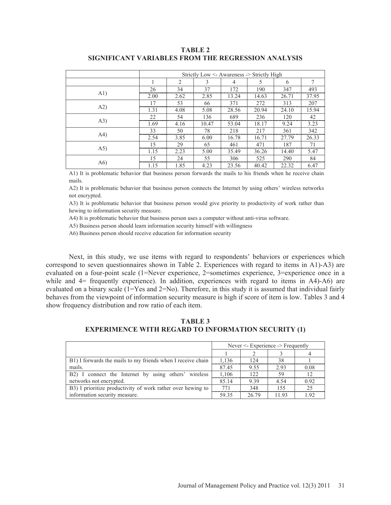| TABLE 2                                            |  |  |  |  |  |
|----------------------------------------------------|--|--|--|--|--|
| SIGNIFICANT VARIABLES FROM THE REGRESSION ANALYSIS |  |  |  |  |  |

|      | Strictly Low $\leq$ Awareness $\geq$ Strictly High |                |       |                |       |       |       |
|------|----------------------------------------------------|----------------|-------|----------------|-------|-------|-------|
|      |                                                    | $\overline{c}$ | 3     | $\overline{4}$ | 5     | 6     | 7     |
|      | 26                                                 | 34             | 37    | 172            | 190   | 347   | 493   |
| A1)  | 2.00                                               | 2.62           | 2.85  | 13.24          | 14.63 | 26.71 | 37.95 |
|      | 17                                                 | 53             | 66    | 371            | 272   | 313   | 207   |
| A2)  | 1.31                                               | 4.08           | 5.08  | 28.56          | 20.94 | 24.10 | 15.94 |
|      | 22                                                 | 54             | 136   | 689            | 236   | 120   | 42    |
| (A3) | 1.69                                               | 4.16           | 10.47 | 53.04          | 18.17 | 9.24  | 3.23  |
|      | 33                                                 | 50             | 78    | 218            | 217   | 361   | 342   |
| A4)  | 2.54                                               | 3.85           | 6.00  | 16.78          | 16.71 | 27.79 | 26.33 |
|      | 15                                                 | 29             | 65    | 461            | 471   | 187   | 71    |
| (A5) | 1.15                                               | 2.23           | 5.00  | 35.49          | 36.26 | 14.40 | 5.47  |
|      | 15                                                 | 24             | 55    | 306            | 525   | 290   | 84    |
| A6)  | 1.15                                               | 1.85           | 4.23  | 23.56          | 40.42 | 22.32 | 6.47  |

A1) It is problematic behavior that business person forwards the mails to his friends when he receive chain mails.

A2) It is problematic behavior that business person connects the Internet by using others' wireless networks not encrypted.

A3) It is problematic behavior that business person would give priority to productivity of work rather than hewing to information security measure.

A4) It is problematic behavior that business person uses a computer without anti-virus software.

A5) Business person should learn information security himself with willingness

A6) Business person should receive education for information security

Next, in this study, we use items with regard to respondents' behaviors or experiences which correspond to seven questionnaires shown in Table 2. Experiences with regard to items in A1)-A3) are evaluated on a four-point scale (1=Never experience, 2=sometimes experience, 3=experience once in a while and  $4=$  frequently experience). In addition, experiences with regard to items in A4)-A6) are evaluated on a binary scale (1=Yes and 2=No). Therefore, in this study it is assumed that individual fairly behaves from the viewpoint of information security measure is high if score of item is low. Tables 3 and 4 show frequency distribution and row ratio of each item.

**TABLE 3 EXPERIMENCE WITH REGARD TO INFORMATION SECURITY (1)** 

|                                                             | Never $\leq$ - Experience $\geq$ Frequently |       |      |      |
|-------------------------------------------------------------|---------------------------------------------|-------|------|------|
|                                                             |                                             |       |      |      |
| B1) I forwards the mails to my friends when I receive chain | 1.136                                       | 12.4  | 38   |      |
| mails.                                                      | 87.45                                       | 9.55  | 2.93 | 0.08 |
| connect the Internet by using others' wireless<br>$B2$ ) I  | 1,106                                       | 122.  | 59   | 12   |
| networks not encrypted.                                     | 85.14                                       | 9.39  | 4.54 | 0.92 |
| B3) I prioritize productivity of work rather over hewing to | 771                                         | 348   | 155  | 25   |
| information security measure.                               | 59.35                                       | 26.79 | 1193 | 1.92 |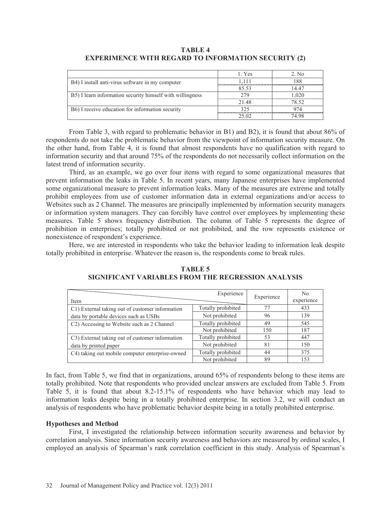|                                                               | 1. Yes | 2. No |
|---------------------------------------------------------------|--------|-------|
| B4) I install anti-virus software in my computer              | 1.111  | 188   |
|                                                               | 85.53  | 14.47 |
| B5) I learn information security himself with willingness     | 279    | 1,020 |
|                                                               | 21.48  | 78.52 |
| B <sub>6</sub> ) I receive education for information security | 325    | 974   |
|                                                               | 25.02  | 74 98 |

## **TABLE 4 EXPERIMENCE WITH REGARD TO INFORMATION SECURITY (2)**

From Table 3, with regard to problematic behavior in B1) and B2), it is found that about 86% of respondents do not take the problematic behavior from the viewpoint of information security measure. On the other hand, from Table 4, it is found that almost respondents have no qualification with regard to information security and that around 75% of the respondents do not necessarily collect information on the latest trend of information security.

Third, as an example, we go over four items with regard to some organizational measures that prevent information the leaks in Table 5. In recent years, many Japanese enterprises have implemented some organizational measure to prevent information leaks. Many of the measures are extreme and totally prohibit employees from use of customer information data in external organizations and/or access to Websites such as 2 Channel. The measures are principally implemented by information security managers or information system managers. They can forcibly have control over employees by implementing these measures. Table 5 shows frequency distribution. The column of Table 5 represents the degree of prohibition in enterprises; totally prohibited or not prohibited, and the row represents existence or nonexistence of respondent's experience.

Here, we are interested in respondents who take the behavior leading to information leak despite totally prohibited in enterprise. Whatever the reason is, the respondents come to break rules.

| Item                                                         | Experience         | Experience | No<br>experience |
|--------------------------------------------------------------|--------------------|------------|------------------|
| C1) External taking out of customer information              | Totally prohibited | 77         | 433              |
| data by portable devices such as USBs                        | Not prohibited     | 96         | 139              |
| C2) Accessing to Website such as 2 Channel                   | Totally prohibited | 49         | 545              |
|                                                              | Not prohibited     | 150        | 187              |
| C <sub>3</sub> ) External taking out of customer information | Totally prohibited | 53         | 447              |
| data by printed paper                                        | Not prohibited     | 81         | 150              |
| C4) taking out mobile computer enterprise-owned              | Totally prohibited | 44         | 375              |
|                                                              | Not prohibited     | 89         | 153              |

#### **TABLE 5 SIGNIFICANT VARIABLES FROM THE REGRESSION ANALYSIS**

In fact, from Table 5, we find that in organizations, around 65% of respondents belong to these items are totally prohibited. Note that respondents who provided unclear answers are excluded from Table 5. From Table 5, it is found that about 8.2-15.1% of respondents who have behavior which may lead to information leaks despite being in a totally prohibited enterprise. In section 3.2, we will conduct an analysis of respondents who have problematic behavior despite being in a totally prohibited enterprise.

### **Hypotheses and Method**

First, I investigated the relationship between information security awareness and behavior by correlation analysis. Since information security awareness and behaviors are measured by ordinal scales, I employed an analysis of Spearman's rank correlation coefficient in this study. Analysis of Spearman's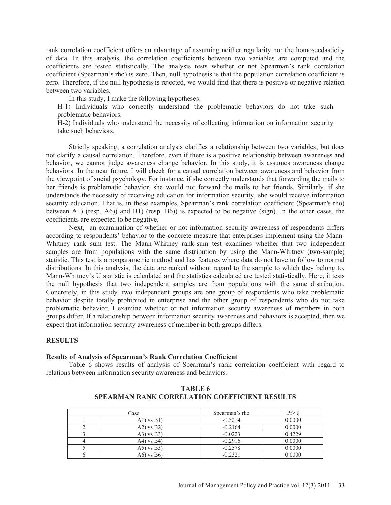rank correlation coefficient offers an advantage of assuming neither regularity nor the homoscedasticity of data. In this analysis, the correlation coefficients between two variables are computed and the coefficients are tested statistically. The analysis tests whether or not Spearman's rank correlation coefficient (Spearman's rho) is zero. Then, null hypothesis is that the population correlation coefficient is zero. Therefore, if the null hypothesis is rejected, we would find that there is positive or negative relation between two variables.

In this study, I make the following hypotheses:

H-1) Individuals who correctly understand the problematic behaviors do not take such problematic behaviors.

H-2) Individuals who understand the necessity of collecting information on information security take such behaviors.

Strictly speaking, a correlation analysis clarifies a relationship between two variables, but does not clarify a causal correlation. Therefore, even if there is a positive relationship between awareness and behavior, we cannot judge awareness change behavior. In this study, it is assumes awareness change behaviors. In the near future, I will check for a causal correlation between awareness and behavior from the viewpoint of social psychology. For instance, if she correctly understands that forwarding the mails to her friends is problematic behavior, she would not forward the mails to her friends. Similarly, if she understands the necessity of receiving education for information security, she would receive information security education. That is, in these examples, Spearman's rank correlation coefficient (Spearman's rho) between A1) (resp. A6)) and B1) (resp. B6)) is expected to be negative (sign). In the other cases, the coefficients are expected to be negative.

Next, an examination of whether or not information security awareness of respondents differs according to respondents' behavior to the concrete measure that enterprises implement using the Mann-Whitney rank sum test. The Mann-Whitney rank-sum test examines whether that two independent samples are from populations with the same distribution by using the Mann-Whitney (two-sample) statistic. This test is a nonparametric method and has features where data do not have to follow to normal distributions. In this analysis, the data are ranked without regard to the sample to which they belong to, Mann-Whitney's U statistic is calculated and the statistics calculated are tested statistically. Here, it tests the null hypothesis that two independent samples are from populations with the same distribution. Concretely, in this study, two independent groups are one group of respondents who take problematic behavior despite totally prohibited in enterprise and the other group of respondents who do not take problematic behavior. I examine whether or not information security awareness of members in both groups differ. If a relationship between information security awareness and behaviors is accepted, then we expect that information security awareness of member in both groups differs.

#### **RESULTS**

#### **Results of Analysis of Spearman's Rank Correlation Coefficient**

Table 6 shows results of analysis of Spearman's rank correlation coefficient with regard to relations between information security awareness and behaviors.

| Case |                  | Spearman's rho | Pr >  t |  |
|------|------------------|----------------|---------|--|
|      | $A1$ ) vs $B1$ ) | $-0.3214$      | 0.0000  |  |
|      | $(A2)$ vs $B2)$  | $-0.2164$      | 0.0000  |  |
|      | $(A3)$ vs $B3)$  | $-0.0223$      | 0.4229  |  |
|      | $(A4)$ vs $B4$ ) | $-0.2916$      | 0.0000  |  |
|      | $(A5)$ vs $B5$ ) | $-0.2578$      | 0.0000  |  |
|      | A6) vs B6)       | $-0.2321$      | 0.0000  |  |

**TABLE 6 SPEARMAN RANK CORRELATION COEFFICIENT RESULTS**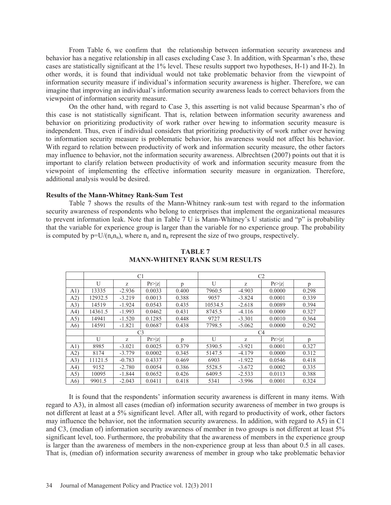From Table 6, we confirm that the relationship between information security awareness and behavior has a negative relationship in all cases excluding Case 3. In addition, with Spearman's rho, these cases are statistically significant at the 1% level. These results support two hypotheses, H-1) and H-2). In other words, it is found that individual would not take problematic behavior from the viewpoint of information security measure if individual's information security awareness is higher. Therefore, we can imagine that improving an individual's information security awareness leads to correct behaviors from the viewpoint of information security measure.

On the other hand, with regard to Case 3, this asserting is not valid because Spearman's rho of this case is not statistically significant. That is, relation between information security awareness and behavior on prioritizing productivity of work rather over hewing to information security measure is independent. Thus, even if individual considers that prioritizing productivity of work rather over hewing to information security measure is problematic behavior, his awareness would not affect his behavior. With regard to relation between productivity of work and information security measure, the other factors may influence to behavior, not the information security awareness. Albrechtsen (2007) points out that it is important to clarify relation between productivity of work and information security measure from the viewpoint of implementing the effective information security measure in organization. Therefore, additional analysis would be desired.

#### **Results of the Mann-Whitney Rank-Sum Test**

Table 7 shows the results of the Mann-Whitney rank-sum test with regard to the information security awareness of respondents who belong to enterprises that implement the organizational measures to prevent information leak. Note that in Table 7 U is Mann-Whitney's U statistic and "p" is probability that the variable for experience group is larger than the variable for no experience group. The probability is computed by  $p=U/(n_0n_n)$ , where  $n_e$  and  $n_n$  represent the size of two groups, respectively.

|      | C <sub>1</sub> |          |                | C <sub>2</sub> |         |          |         |              |
|------|----------------|----------|----------------|----------------|---------|----------|---------|--------------|
|      | U              | Z        | Pr> z          | p              | U       | Z        | Pr >  z | p            |
| A1)  | 13335          | $-2.936$ | 0.0033         | 0.400          | 7960.5  | $-4.903$ | 0.0000  | 0.298        |
| A2)  | 12932.5        | $-3.219$ | 0.0013         | 0.388          | 9057    | $-3.824$ | 0.0001  | 0.339        |
| (A3) | 14519          | $-1.924$ | 0.0543         | 0.435          | 10534.5 | $-2.618$ | 0.0089  | 0.394        |
| A4)  | 14361.5        | $-1.993$ | 0.0462         | 0.431          | 8745.5  | $-4.116$ | 0.0000  | 0.327        |
| (A5) | 14941          | $-1.520$ | 0.1285         | 0.448          | 9727    | $-3.301$ | 0.0010  | 0.364        |
| A6)  | 14591          | $-1.821$ | 0.0687         | 0.438          | 7798.5  | $-5.062$ | 0.0000  | 0.292        |
|      |                |          | C <sub>3</sub> |                | C4      |          |         |              |
|      | U              | Z        | Pr >  z        | <sub>n</sub>   | U       | Z        | Pr> z   | $\mathbf{D}$ |
| A1)  | 8985           | $-3.021$ | 0.0025         | 0.379          | 5390.5  | $-3.921$ | 0.0001  | 0.327        |
| A2)  | 8174           | $-3.779$ | 0.0002         | 0.345          | 5147.5  | $-4.179$ | 0.0000  | 0.312        |
| (A3) | 11121.5        | $-0.783$ | 0.4337         | 0.469          | 6903    | $-1.922$ | 0.0546  | 0.418        |
| A4)  | 9152           | $-2.780$ | 0.0054         | 0.386          | 5528.5  | $-3.672$ | 0.0002  | 0.335        |
| (A5) | 10095          | $-1.844$ | 0.0652         | 0.426          | 6409.5  | $-2.533$ | 0.0113  | 0.388        |
| A6)  | 9901.5         | $-2.043$ | 0.0411         | 0.418          | 5341    | $-3.996$ | 0.0001  | 0.324        |

## **TABLE 7 MANN-WHITNEY RANK SUM RESULTS**

It is found that the respondents' information security awareness is different in many items. With regard to A3), in almost all cases (median of) information security awareness of member in two groups is not different at least at a 5% significant level. After all, with regard to productivity of work, other factors may influence the behavior, not the information security awareness. In addition, with regard to A5) in C1 and C3, (median of) information security awareness of member in two groups is not different at least 5% significant level, too. Furthermore, the probability that the awareness of members in the experience group is larger than the awareness of members in the non-experience group at less than about 0.5 in all cases. That is, (median of) information security awareness of member in group who take problematic behavior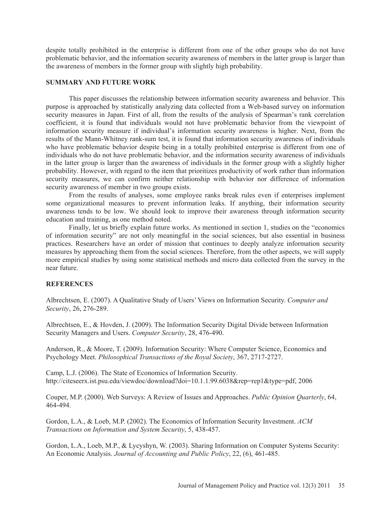despite totally prohibited in the enterprise is different from one of the other groups who do not have problematic behavior, and the information security awareness of members in the latter group is larger than the awareness of members in the former group with slightly high probability.

#### **SUMMARY AND FUTURE WORK**

This paper discusses the relationship between information security awareness and behavior. This purpose is approached by statistically analyzing data collected from a Web-based survey on information security measures in Japan. First of all, from the results of the analysis of Spearman's rank correlation coefficient, it is found that individuals would not have problematic behavior from the viewpoint of information security measure if individual's information security awareness is higher. Next, from the results of the Mann-Whitney rank-sum test, it is found that information security awareness of individuals who have problematic behavior despite being in a totally prohibited enterprise is different from one of individuals who do not have problematic behavior, and the information security awareness of individuals in the latter group is larger than the awareness of individuals in the former group with a slightly higher probability. However, with regard to the item that prioritizes productivity of work rather than information security measures, we can confirm neither relationship with behavior nor difference of information security awareness of member in two groups exists.

From the results of analyses, some employee ranks break rules even if enterprises implement some organizational measures to prevent information leaks. If anything, their information security awareness tends to be low. We should look to improve their awareness through information security education and training, as one method noted.

Finally, let us briefly explain future works. As mentioned in section 1, studies on the "economics of information security" are not only meaningful in the social sciences, but also essential in business practices. Researchers have an order of mission that continues to deeply analyze information security measures by approaching them from the social sciences. Therefore, from the other aspects, we will supply more empirical studies by using some statistical methods and micro data collected from the survey in the near future.

### **REFERENCES**

Albrechtsen, E. (2007). A Qualitative Study of Users' Views on Information Security. *Computer and Security*, 26, 276-289.

Albrechtsen, E., & Hovden, J. (2009). The Information Security Digital Divide between Information Security Managers and Users. *Computer Security*, 28, 476-490.

Anderson, R., & Moore, T. (2009). Information Security: Where Computer Science, Economics and Psychology Meet. *Philosophical Transactions of the Royal Society*, 367, 2717-2727.

Camp, L.J. (2006). The State of Economics of Information Security. http://citeseerx.ist.psu.edu/viewdoc/download?doi=10.1.1.99.6038&rep=rep1&type=pdf, 2006

Couper, M.P. (2000). Web Surveys: A Review of Issues and Approaches. *Public Opinion Quarterly*, 64, 464-494.

Gordon, L.A., & Loeb, M.P. (2002). The Economics of Information Security Investment. *ACM Transactions on Information and System Security*, 5, 438-457.

Gordon, L.A., Loeb, M.P., & Lycyshyn, W. (2003). Sharing Information on Computer Systems Security: An Economic Analysis. *Journal of Accounting and Public Policy*, 22, (6), 461-485.